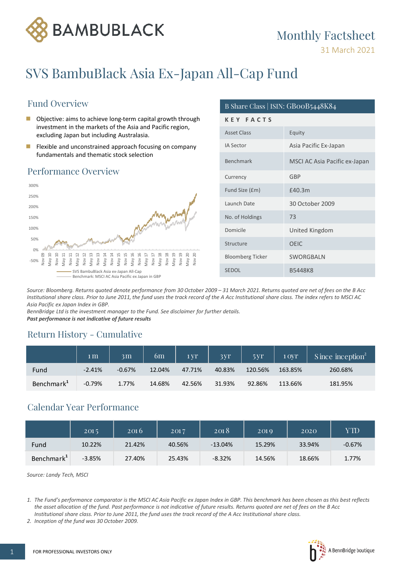

## **Monthly Factsheet**

31 March 2021

# SVS BambuBlack Asia Ex-Japan All-Cap Fund

## **Fund Overview**

- $\mathcal{L}_{\mathcal{A}}$ Objective: aims to achieve long-term capital growth through investment in the markets of the Asia and Pacific region, excluding Japan but including Australasia.
- Flexible and unconstrained approach focusing on company m. fundamentals and thematic stock selection

### Performance Overview



### B Share Class | ISIN: GB00B5448K84 KEY FACTS Asset Class Equity Asia Pacific Ex-Japan **IA Sector** MSCI AC Asia Pacific ex-Japan Benchmark GBP Currency £40.3m Fund Size (£m) Launch Date 30 October 2009  $73$ No. of Holdings Domicile United Kingdom **OEIC** Structure **Bloomberg Ticker** SWORGBALN **B5448K8** SEDOL

Source: Bloomberg. Returns quoted denote performance from 30 October 2009 - 31 March 2021. Returns quoted are net of fees on the B Acc Institutional share class. Prior to June 2011, the fund uses the track record of the A Acc Institutional share class. The index refers to MSCI AC Asia Pacific ex Japan Index in GBP.

BennBridge Ltd is the investment manager to the Fund. See disclaimer for further details. Past performance is not indicative of future results

### Return History - Cumulative

|                        | 1 <sub>m</sub> | 3 <sub>m</sub> | 6m     | 1 <sub>vr</sub> | 3yr    | 5yr     | 1 OVT   | Since inception <sup>2</sup> |
|------------------------|----------------|----------------|--------|-----------------|--------|---------|---------|------------------------------|
| Fund                   | $-2.41%$       | $-0.67%$       | 12.04% | 47.71%          | 40.83% | 120.56% | 163.85% | 260.68%                      |
| Benchmark <sup>1</sup> | $-0.79%$       | 1.77%          | 14.68% | 42.56%          | 31.93% | 92.86%  | 113.66% | 181.95%                      |

### Calendar Year Performance

|                        | 2015     | 2016   | 2017   | 2018      | 2019   | 2020   | YTD      |
|------------------------|----------|--------|--------|-----------|--------|--------|----------|
| Fund                   | 10.22%   | 21.42% | 40.56% | $-13.04%$ | 15.29% | 33.94% | $-0.67%$ |
| Benchmark <sup>1</sup> | $-3.85%$ | 27.40% | 25.43% | $-8.32%$  | 14.56% | 18.66% | 1.77%    |

Source: Landy Tech, MSCI



<sup>1.</sup> The Fund's performance comparator is the MSCI AC Asia Pacific ex Japan Index in GBP. This benchmark has been chosen as this best reflects the asset allocation of the fund. Past performance is not indicative of future results. Returns quoted are net of fees on the B Acc Institutional share class. Prior to June 2011, the fund uses the track record of the A Acc Institutional share class.

<sup>2.</sup> Inception of the fund was 30 October 2009.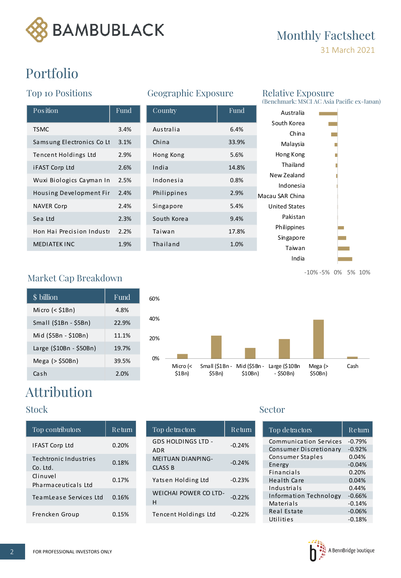

# Monthly Factsheet

31 March 2021

# Portfolio

## Top 10 Positions

| Position                  | Fund | Country     | Fund  |
|---------------------------|------|-------------|-------|
| <b>TSMC</b>               | 3.4% | Australia   | 6.4%  |
| Samsung Electronics Co Lt | 3.1% | China       | 33.9% |
| Tencent Holdings Ltd      | 2.9% | Hong Kong   | 5.6%  |
| <b>iFAST Corp Ltd</b>     | 2.6% | India       | 14.8% |
| Wuxi Biologics Cayman In  | 2.5% | Indonesia   | 0.8%  |
| Housing Development Fir   | 2.4% | Philippines | 2.9%  |
| <b>NAVER Corp</b>         | 2.4% | Singapore   | 5.4%  |
| Sea Ltd                   | 2.3% | South Korea | 9.4%  |
| Hon Hai Precision Industr | 2.2% | Taiwan      | 17.8% |
| <b>MEDIATEK INC</b>       | 1.9% | Thailand    | 1.0%  |

## Geographic Exposure

| Position                  | Fund | Country     | Fund  | Australia                |
|---------------------------|------|-------------|-------|--------------------------|
| TSMC                      | 3.4% | Australia   | 6.4%  | South Korea<br>China     |
| Samsung Electronics Co Lt | 3.1% | China       | 33.9% | Malaysia                 |
| Tencent Holdings Ltd      | 2.9% | Hong Kong   | 5.6%  | Hong Kong                |
| <b>iFAST Corp Ltd</b>     | 2.6% | India       | 14.8% | Thailand                 |
| Wuxi Biologics Cayman In  | 2.5% | Indonesia   | 0.8%  | New Zealand<br>Indonesia |
| Housing Development Fir   | 2.4% | Philippines | 2.9%  | Macau SAR China          |
| <b>NAVER Corp</b>         | 2.4% | Singapore   | 5.4%  | <b>United States</b>     |
| Sea Ltd                   | 2.3% | South Korea | 9.4%  | Pakistan                 |
| Hon Hai Precision Industr | 2.2% | Taiwan      | 17.8% | Philippines              |
| MEDIATEK INC              | 1.9% | Thailand    | 1.0%  | Singapore<br>Taiwan      |
|                           |      |             |       |                          |

# Relative Exposure<br>(Benchmark: MSCI AC Asia Pacific ex-Japan)

| Australia            |                   |  |  |
|----------------------|-------------------|--|--|
| South Korea          |                   |  |  |
| China                |                   |  |  |
| Malaysia             |                   |  |  |
| Hong Kong            |                   |  |  |
| Thailand             |                   |  |  |
| New Zealand          |                   |  |  |
| Indonesia            |                   |  |  |
| Macau SAR China      |                   |  |  |
| <b>United States</b> |                   |  |  |
| Pakistan             |                   |  |  |
| Philippines          |                   |  |  |
| Singapore            |                   |  |  |
| Taiwan               |                   |  |  |
| India                |                   |  |  |
|                      | -10%-5% 0% 5% 10% |  |  |

## Market Cap Breakdown

| \$ billion              | Fund  |
|-------------------------|-------|
| Micro (< \$1Bn)         | 4.8%  |
| Small (\$1Bn - \$5Bn)   | 22.9% |
| Mid (\$5Bn - \$10Bn)    | 11.1% |
| Large (\$10Bn - \$50Bn) | 19.7% |
| Mega (> \$50Bn)         | 39.5% |
| Cash                    | 2.0%  |



# Attribution

| Top contributors                  | Return | Top detractors                             | Retur    |
|-----------------------------------|--------|--------------------------------------------|----------|
| <b>IFAST Corp Ltd</b>             | 0.20%  | <b>GDS HOLDINGS LTD -</b><br><b>ADR</b>    | $-0.24%$ |
| Techtronic Industries<br>Co. Ltd. | 0.18%  | <b>MEITUAN DIANPING-</b><br><b>CLASS B</b> | $-0.24%$ |
| Clinuvel<br>Pharmaceuticals Ltd   | 0.17%  | Yatsen Holding Ltd                         | $-0.23%$ |
| TeamLease Services Ltd            | 0.16%  | WEICHAI POWER CO LTD-<br>н                 | $-0.22%$ |
| Frencken Group                    | 0.15%  | Tencent Holdings Ltd                       | $-0.22%$ |

| Top contributors                  | Return | Top detractors                             | Return   |
|-----------------------------------|--------|--------------------------------------------|----------|
| IFAST Corp Ltd                    | 0.20%  | <b>GDS HOLDINGS LTD -</b><br><b>ADR</b>    | $-0.24%$ |
| Techtronic Industries<br>Co. Ltd. | 0.18%  | <b>MEITUAN DIANPING-</b><br><b>CLASS B</b> | $-0.24%$ |
| Clinuvel<br>Pharmaceuticals Ltd   | 0.17%  | Yatsen Holding Ltd                         | $-0.23%$ |
| TeamLease Services Ltd            | 0.16%  | <b>WEICHAI POWER CO LTD-</b><br>н          | $-0.22%$ |
| Frencken Group                    | 0.15%  | Tencent Holdings Ltd                       | $-0.22%$ |

### Stock Sector

|                  |            |                    | $-10\% - 5\%$ 0% 5% 10%       |  |      |          |
|------------------|------------|--------------------|-------------------------------|--|------|----------|
|                  |            |                    |                               |  |      |          |
|                  |            |                    |                               |  |      |          |
|                  |            |                    |                               |  |      |          |
|                  |            |                    |                               |  |      |          |
|                  |            |                    |                               |  |      |          |
|                  |            |                    |                               |  |      |          |
|                  |            |                    |                               |  |      |          |
| 1- Large (\$10Bn |            |                    | Mega $($                      |  | Cash |          |
|                  | - \$50Bn)  |                    | \$50Bn)                       |  |      |          |
|                  |            |                    |                               |  |      |          |
|                  |            |                    |                               |  |      |          |
|                  |            |                    |                               |  |      |          |
|                  |            |                    |                               |  |      |          |
| Sector           |            |                    |                               |  |      |          |
|                  |            |                    |                               |  |      |          |
|                  |            | Top detractors     |                               |  |      | Return   |
|                  |            |                    | <b>Communication Services</b> |  |      | $-0.79%$ |
|                  |            |                    | Consumer Discretionary        |  |      | $-0.92%$ |
|                  |            | Consumer Staples   |                               |  |      | 0.04%    |
| Energy           |            |                    |                               |  |      | $-0.04%$ |
|                  | Financials |                    |                               |  |      | 0.20%    |
|                  |            | <b>Health Care</b> |                               |  |      | 0.04%    |
|                  |            | Industrials        |                               |  |      | 0.44%    |
|                  |            |                    | Information Technology        |  |      | $-0.66%$ |
|                  | Materials  |                    |                               |  |      | $-0.14%$ |
|                  |            | Real Estate        |                               |  |      | $-0.06%$ |

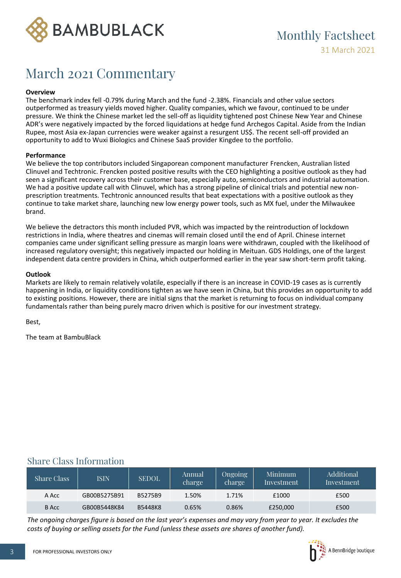

## March 2021 Commentary

### **Overview**

The benchmark index fell -0.79% during March and the fund -2.38%. Financials and other value sectors outperformed as treasury yields moved higher. Quality companies, which we favour, continued to be under pressure. We think the Chinese market led the sell-off as liquidity tightened post Chinese New Year and Chinese ADR's were negatively impacted by the forced liquidations at hedge fund Archegos Capital. Aside from the Indian Rupee, most Asia ex-Japan currencies were weaker against a resurgent US\$. The recent sell-off provided an opportunity to add to Wuxi Biologics and Chinese SaaS provider Kingdee to the portfolio.

### **Performance**

We believe the top contributors included Singaporean component manufacturer Frencken, Australian listed Clinuvel and Techtronic. Frencken posted positive results with the CEO highlighting a positive outlook as they had seen a significant recovery across their customer base, especially auto, semiconductors and industrial automation. We had a positive update call with Clinuvel, which has a strong pipeline of clinical trials and potential new nonprescription treatments. Techtronic announced results that beat expectations with a positive outlook as they continue to take market share, launching new low energy power tools, such as MX fuel, under the Milwaukee brand.

We believe the detractors this month included PVR, which was impacted by the reintroduction of lockdown restrictions in India, where theatres and cinemas will remain closed until the end of April. Chinese internet companies came under significant selling pressure as margin loans were withdrawn, coupled with the likelihood of increased regulatory oversight; this negatively impacted our holding in Meituan. GDS Holdings, one of the largest independent data centre providers in China, which outperformed earlier in the year saw short-term profit taking.

### **Outlook**

Markets are likely to remain relatively volatile, especially if there is an increase in COVID-19 cases as is currently happening in India, or liquidity conditions tighten as we have seen in China, but this provides an opportunity to add to existing positions. However, there are initial signs that the market is returning to focus on individual company fundamentals rather than being purely macro driven which is positive for our investment strategy.

Best,

The team at BambuBlack

### Share Class Information

| Share Class | <b>ISIN</b>  | <b>SEDOL</b>   | Annual<br>charge | <b>Ongoing</b><br>charge | Minimum<br>Investment | Additional<br>Investment |
|-------------|--------------|----------------|------------------|--------------------------|-----------------------|--------------------------|
| A Acc       | GB00B5275B91 | B5275B9        | 1.50%            | 1.71%                    | £1000                 | £500                     |
| B Acc       | GB00B5448K84 | <b>B5448K8</b> | 0.65%            | 0.86%                    | £250,000              | £500                     |

*The ongoing charges figure is based on the last year's expenses and may vary from year to year. It excludes the costs of buying or selling assets for the Fund (unless these assets are shares of another fund).*